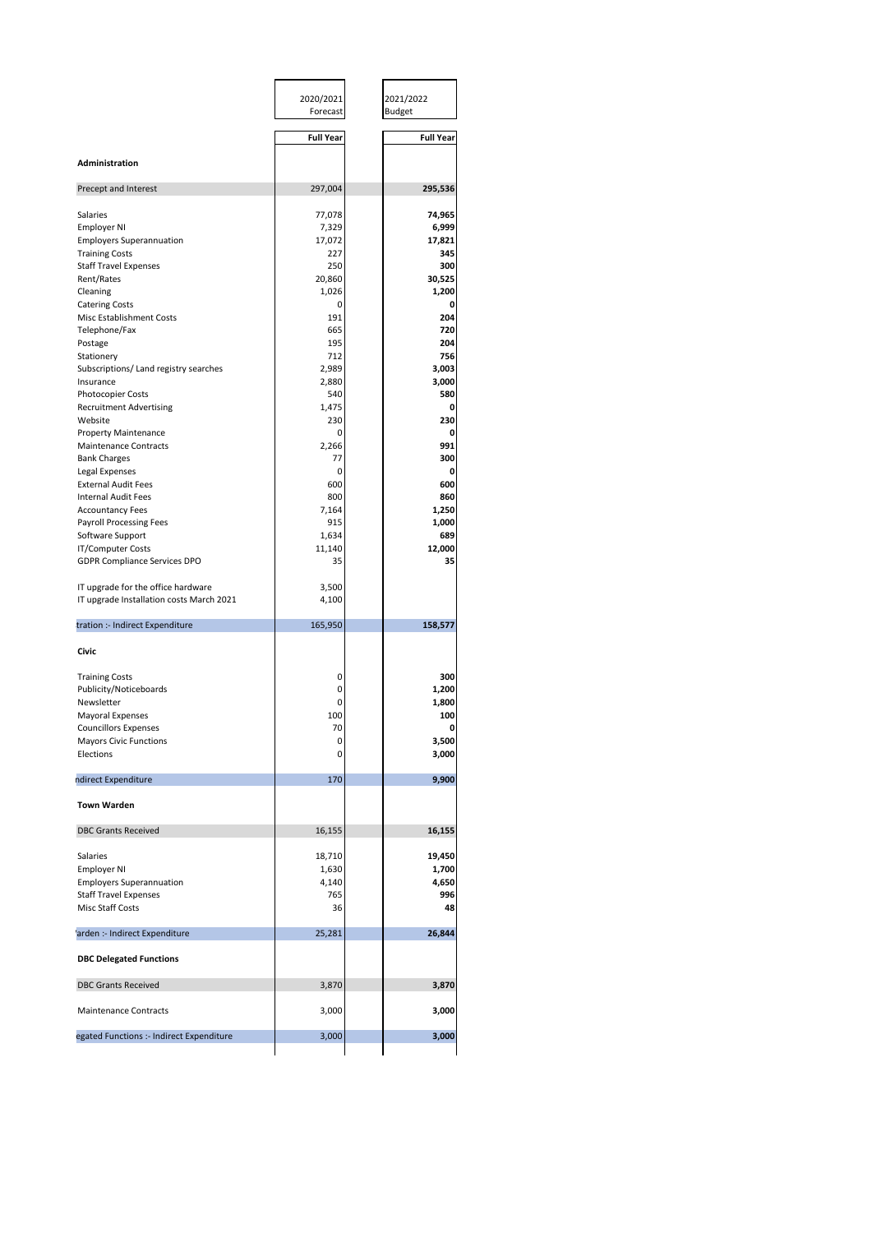|                                                                                | 2020/2021<br>Forecast | 2021/2022<br><b>Budget</b> |  |
|--------------------------------------------------------------------------------|-----------------------|----------------------------|--|
|                                                                                | <b>Full Year</b>      | <b>Full Year</b>           |  |
| Administration                                                                 |                       |                            |  |
| Precept and Interest                                                           | 297,004               | 295,536                    |  |
|                                                                                |                       |                            |  |
| Salaries                                                                       | 77,078                | 74,965                     |  |
| Employer NI                                                                    | 7,329                 | 6,999                      |  |
| <b>Employers Superannuation</b><br><b>Training Costs</b>                       | 17,072<br>227         | 17,821<br>345              |  |
| <b>Staff Travel Expenses</b>                                                   | 250                   | 300                        |  |
| Rent/Rates                                                                     | 20,860                | 30,525                     |  |
| Cleaning                                                                       | 1,026                 | 1,200                      |  |
| <b>Catering Costs</b>                                                          | 0                     | 0                          |  |
| Misc Establishment Costs                                                       | 191                   | 204                        |  |
| Telephone/Fax                                                                  | 665                   | 720                        |  |
| Postage                                                                        | 195                   | 204                        |  |
| Stationery                                                                     | 712                   | 756                        |  |
| Subscriptions/ Land registry searches                                          | 2,989                 | 3,003                      |  |
| Insurance                                                                      | 2,880                 | 3,000                      |  |
| Photocopier Costs                                                              | 540                   | 580                        |  |
| <b>Recruitment Advertising</b>                                                 | 1,475                 | 0                          |  |
| Website                                                                        | 230                   | 230                        |  |
| <b>Property Maintenance</b>                                                    | 0                     | 0                          |  |
| <b>Maintenance Contracts</b><br><b>Bank Charges</b>                            | 2,266<br>77           | 991<br>300                 |  |
| Legal Expenses                                                                 | 0                     | 0                          |  |
| <b>External Audit Fees</b>                                                     | 600                   | 600                        |  |
| Internal Audit Fees                                                            | 800                   | 860                        |  |
| <b>Accountancy Fees</b>                                                        | 7,164                 | 1,250                      |  |
| Payroll Processing Fees                                                        | 915                   | 1,000                      |  |
| Software Support                                                               | 1,634                 | 689                        |  |
| IT/Computer Costs                                                              | 11,140                | 12,000                     |  |
| <b>GDPR Compliance Services DPO</b>                                            | 35                    | 35                         |  |
| IT upgrade for the office hardware<br>IT upgrade Installation costs March 2021 | 3,500<br>4,100        |                            |  |
| tration :- Indirect Expenditure                                                | 165,950               | 158,577                    |  |
| Civic                                                                          |                       |                            |  |
|                                                                                |                       |                            |  |
| <b>Training Costs</b>                                                          | 0                     | 300                        |  |
| Publicity/Noticeboards                                                         | 0                     | 1,200                      |  |
| Newsletter                                                                     | 0                     | 1,800                      |  |
| <b>Mayoral Expenses</b>                                                        | 100                   | 100                        |  |
| <b>Councillors Expenses</b>                                                    | 70                    | 0                          |  |
| <b>Mayors Civic Functions</b><br>Elections                                     | 0<br>0                | 3,500<br>3,000             |  |
|                                                                                |                       |                            |  |
| ndirect Expenditure                                                            | 170                   | 9,900                      |  |
| <b>Town Warden</b>                                                             |                       |                            |  |
| <b>DBC Grants Received</b>                                                     | 16,155                | 16,155                     |  |
| Salaries                                                                       | 18,710                | 19,450                     |  |
| <b>Employer NI</b>                                                             | 1,630                 | 1,700                      |  |
| <b>Employers Superannuation</b>                                                | 4,140                 | 4,650                      |  |
| <b>Staff Travel Expenses</b>                                                   | 765                   | 996                        |  |
| Misc Staff Costs                                                               | 36                    | 48                         |  |
| 'arden :- Indirect Expenditure                                                 | 25,281                | 26,844                     |  |
|                                                                                |                       |                            |  |
| <b>DBC Delegated Functions</b>                                                 |                       |                            |  |
|                                                                                | 3,870                 | 3,870                      |  |
| <b>DBC Grants Received</b>                                                     |                       |                            |  |
| <b>Maintenance Contracts</b>                                                   | 3,000                 | 3,000                      |  |